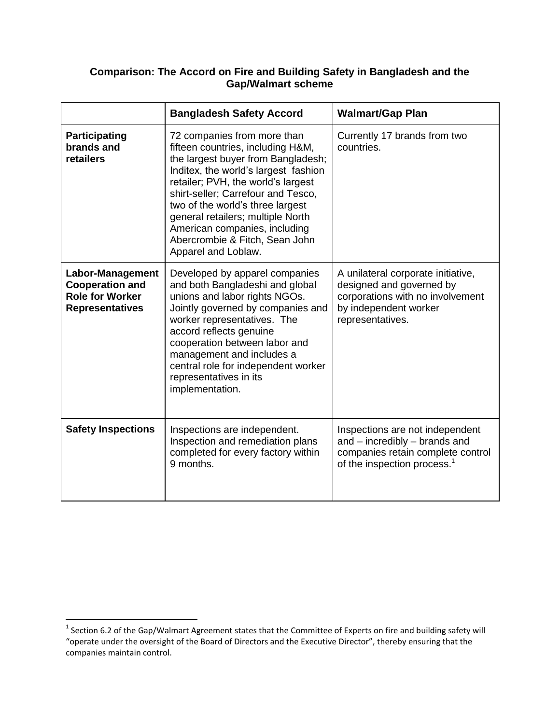## **Comparison: The Accord on Fire and Building Safety in Bangladesh and the Gap/Walmart scheme**

|                                                                                                       | <b>Bangladesh Safety Accord</b>                                                                                                                                                                                                                                                                                                                                                               | <b>Walmart/Gap Plan</b>                                                                                                                          |
|-------------------------------------------------------------------------------------------------------|-----------------------------------------------------------------------------------------------------------------------------------------------------------------------------------------------------------------------------------------------------------------------------------------------------------------------------------------------------------------------------------------------|--------------------------------------------------------------------------------------------------------------------------------------------------|
| Participating<br>brands and<br>retailers                                                              | 72 companies from more than<br>fifteen countries, including H&M,<br>the largest buyer from Bangladesh;<br>Inditex, the world's largest fashion<br>retailer; PVH, the world's largest<br>shirt-seller; Carrefour and Tesco,<br>two of the world's three largest<br>general retailers; multiple North<br>American companies, including<br>Abercrombie & Fitch, Sean John<br>Apparel and Loblaw. | Currently 17 brands from two<br>countries.                                                                                                       |
| <b>Labor-Management</b><br><b>Cooperation and</b><br><b>Role for Worker</b><br><b>Representatives</b> | Developed by apparel companies<br>and both Bangladeshi and global<br>unions and labor rights NGOs.<br>Jointly governed by companies and<br>worker representatives. The<br>accord reflects genuine<br>cooperation between labor and<br>management and includes a<br>central role for independent worker<br>representatives in its<br>implementation.                                           | A unilateral corporate initiative,<br>designed and governed by<br>corporations with no involvement<br>by independent worker<br>representatives.  |
| <b>Safety Inspections</b>                                                                             | Inspections are independent.<br>Inspection and remediation plans<br>completed for every factory within<br>9 months.                                                                                                                                                                                                                                                                           | Inspections are not independent<br>and - incredibly - brands and<br>companies retain complete control<br>of the inspection process. <sup>1</sup> |

 1 Section 6.2 of the Gap/Walmart Agreement states that the Committee of Experts on fire and building safety will "operate under the oversight of the Board of Directors and the Executive Director", thereby ensuring that the companies maintain control.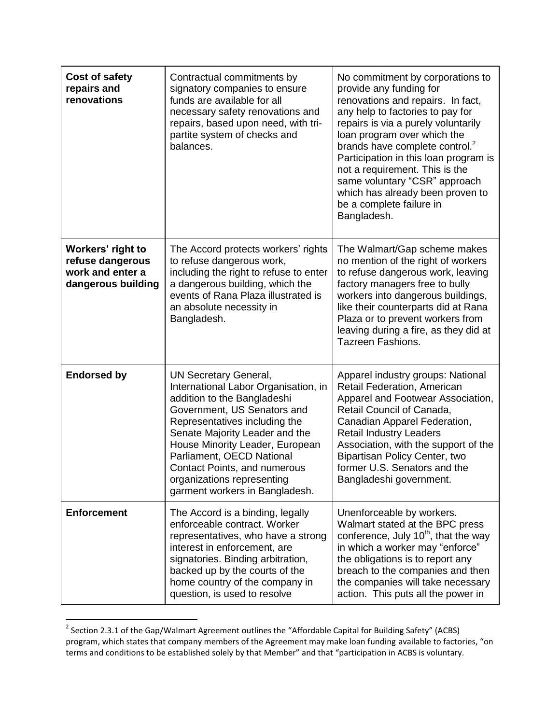| Cost of safety<br>repairs and<br>renovations                                    | Contractual commitments by<br>signatory companies to ensure<br>funds are available for all<br>necessary safety renovations and<br>repairs, based upon need, with tri-<br>partite system of checks and<br>balances.                                                                                                                                                           | No commitment by corporations to<br>provide any funding for<br>renovations and repairs. In fact,<br>any help to factories to pay for<br>repairs is via a purely voluntarily<br>loan program over which the<br>brands have complete control. <sup>2</sup><br>Participation in this loan program is<br>not a requirement. This is the<br>same voluntary "CSR" approach<br>which has already been proven to<br>be a complete failure in<br>Bangladesh. |
|---------------------------------------------------------------------------------|------------------------------------------------------------------------------------------------------------------------------------------------------------------------------------------------------------------------------------------------------------------------------------------------------------------------------------------------------------------------------|-----------------------------------------------------------------------------------------------------------------------------------------------------------------------------------------------------------------------------------------------------------------------------------------------------------------------------------------------------------------------------------------------------------------------------------------------------|
| Workers' right to<br>refuse dangerous<br>work and enter a<br>dangerous building | The Accord protects workers' rights<br>to refuse dangerous work,<br>including the right to refuse to enter<br>a dangerous building, which the<br>events of Rana Plaza illustrated is<br>an absolute necessity in<br>Bangladesh.                                                                                                                                              | The Walmart/Gap scheme makes<br>no mention of the right of workers<br>to refuse dangerous work, leaving<br>factory managers free to bully<br>workers into dangerous buildings,<br>like their counterparts did at Rana<br>Plaza or to prevent workers from<br>leaving during a fire, as they did at<br><b>Tazreen Fashions.</b>                                                                                                                      |
| <b>Endorsed by</b>                                                              | <b>UN Secretary General,</b><br>International Labor Organisation, in<br>addition to the Bangladeshi<br>Government, US Senators and<br>Representatives including the<br>Senate Majority Leader and the<br>House Minority Leader, European<br>Parliament, OECD National<br><b>Contact Points, and numerous</b><br>organizations representing<br>garment workers in Bangladesh. | Apparel industry groups: National<br>Retail Federation, American<br>Apparel and Footwear Association,<br>Retail Council of Canada,<br>Canadian Apparel Federation,<br><b>Retail Industry Leaders</b><br>Association, with the support of the<br>Bipartisan Policy Center, two<br>former U.S. Senators and the<br>Bangladeshi government.                                                                                                            |
| <b>Enforcement</b>                                                              | The Accord is a binding, legally<br>enforceable contract. Worker<br>representatives, who have a strong<br>interest in enforcement, are<br>signatories. Binding arbitration,<br>backed up by the courts of the<br>home country of the company in<br>question, is used to resolve                                                                                              | Unenforceable by workers.<br>Walmart stated at the BPC press<br>conference, July 10 <sup>th</sup> , that the way<br>in which a worker may "enforce"<br>the obligations is to report any<br>breach to the companies and then<br>the companies will take necessary<br>action. This puts all the power in                                                                                                                                              |

 2 Section 2.3.1 of the Gap/Walmart Agreement outlines the "Affordable Capital for Building Safety" (ACBS) program, which states that company members of the Agreement may make loan funding available to factories, "on terms and conditions to be established solely by that Member" and that "participation in ACBS is voluntary.